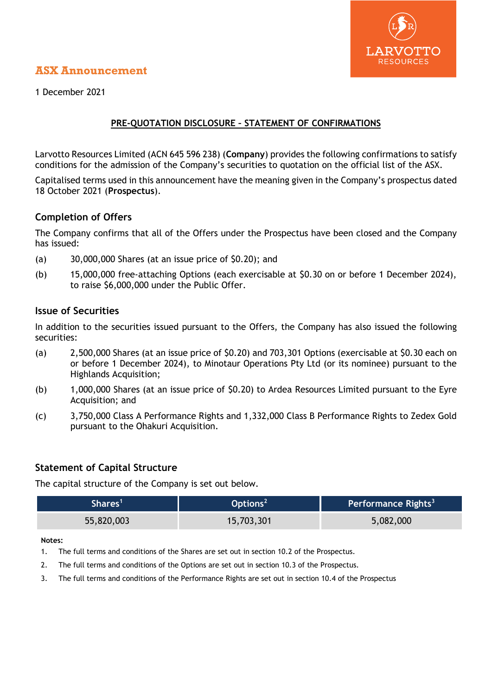# ARVOTTO **RESOURCES**

# **ASX Announcement**

1 December 2021

## **PRE-QUOTATION DISCLOSURE – STATEMENT OF CONFIRMATIONS**

Larvotto Resources Limited (ACN 645 596 238) (**Company**) provides the following confirmations to satisfy conditions for the admission of the Company's securities to quotation on the official list of the ASX.

Capitalised terms used in this announcement have the meaning given in the Company's prospectus dated 18 October 2021 (**Prospectus**).

## **Completion of Offers**

The Company confirms that all of the Offers under the Prospectus have been closed and the Company has issued:

- (a) 30,000,000 Shares (at an issue price of \$0.20); and
- (b) 15,000,000 free-attaching Options (each exercisable at \$0.30 on or before 1 December 2024), to raise \$6,000,000 under the Public Offer.

## **Issue of Securities**

In addition to the securities issued pursuant to the Offers, the Company has also issued the following securities:

- (a) 2,500,000 Shares (at an issue price of \$0.20) and 703,301 Options (exercisable at \$0.30 each on or before 1 December 2024), to Minotaur Operations Pty Ltd (or its nominee) pursuant to the Highlands Acquisition;
- (b) 1,000,000 Shares (at an issue price of \$0.20) to Ardea Resources Limited pursuant to the Eyre Acquisition; and
- (c) 3,750,000 Class A Performance Rights and 1,332,000 Class B Performance Rights to Zedex Gold pursuant to the Ohakuri Acquisition.

# **Statement of Capital Structure**

The capital structure of the Company is set out below.

| 'Shares    | Options $2$ | Performance Rights <sup>3</sup> |
|------------|-------------|---------------------------------|
| 55,820,003 | 15,703,301  | 5,082,000                       |

#### **Notes:**

- 1. The full terms and conditions of the Shares are set out in section 10.2 of the Prospectus.
- 2. The full terms and conditions of the Options are set out in section 10.3 of the Prospectus.
- 3. The full terms and conditions of the Performance Rights are set out in section 10.4 of the Prospectus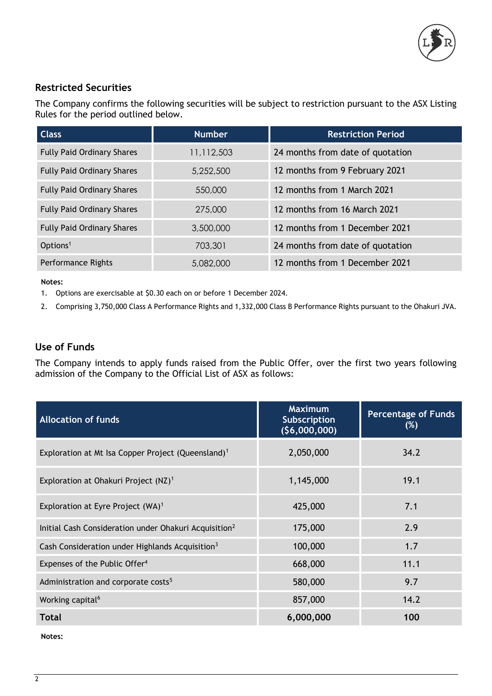

# **Restricted Securities**

The Company confirms the following securities will be subject to restriction pursuant to the ASX Listing Rules for the period outlined below.

| <b>Class</b>                      | <b>Number</b> | <b>Restriction Period</b>        |
|-----------------------------------|---------------|----------------------------------|
| <b>Fully Paid Ordinary Shares</b> | 11,112,503    | 24 months from date of quotation |
| <b>Fully Paid Ordinary Shares</b> | 5,252,500     | 12 months from 9 February 2021   |
| <b>Fully Paid Ordinary Shares</b> | 550,000       | 12 months from 1 March 2021      |
| <b>Fully Paid Ordinary Shares</b> | 275,000       | 12 months from 16 March 2021     |
| <b>Fully Paid Ordinary Shares</b> | 3,500,000     | 12 months from 1 December 2021   |
| Options <sup>1</sup>              | 703,301       | 24 months from date of quotation |
| Performance Rights                | 5,082,000     | 12 months from 1 December 2021   |

#### **Notes:**

1. Options are exercisable at \$0.30 each on or before 1 December 2024.

2. Comprising 3,750,000 Class A Performance Rights and 1,332,000 Class B Performance Rights pursuant to the Ohakuri JVA.

#### **Use of Funds**

The Company intends to apply funds raised from the Public Offer, over the first two years following admission of the Company to the Official List of ASX as follows:

| <b>Allocation of funds</b>                                        | <b>Maximum</b><br>Subscription<br>(56,000,000) | <b>Percentage of Funds</b><br>$(\%)$ |
|-------------------------------------------------------------------|------------------------------------------------|--------------------------------------|
| Exploration at Mt Isa Copper Project (Queensland) <sup>1</sup>    | 2,050,000                                      | 34.2                                 |
| Exploration at Ohakuri Project (NZ) <sup>1</sup>                  | 1,145,000                                      | 19.1                                 |
| Exploration at Eyre Project (WA) <sup>1</sup>                     | 425,000                                        | 7.1                                  |
| Initial Cash Consideration under Ohakuri Acquisition <sup>2</sup> | 175,000                                        | 2.9                                  |
| Cash Consideration under Highlands Acquisition <sup>3</sup>       | 100,000                                        | 1.7                                  |
| Expenses of the Public Offer <sup>4</sup>                         | 668,000                                        | 11.1                                 |
| Administration and corporate costs <sup>5</sup>                   | 580,000                                        | 9.7                                  |
| Working capital <sup>6</sup>                                      | 857,000                                        | 14.2                                 |
| Total                                                             | 6,000,000                                      | 100                                  |

**Notes:**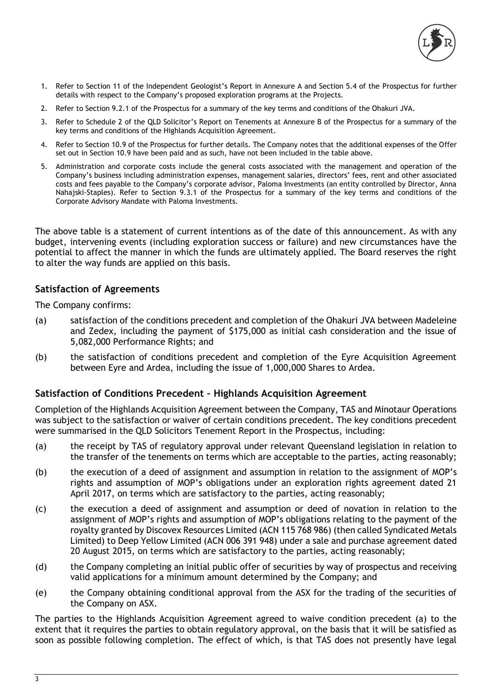

- 1. Refer to Section 11 of the Independent Geologist's Report in Annexure A and Section 5.4 of the Prospectus for further details with respect to the Company's proposed exploration programs at the Projects.
- 2. Refer to Section 9.2.1 of the Prospectus for a summary of the key terms and conditions of the Ohakuri JVA.
- 3. Refer to Schedule 2 of the QLD Solicitor's Report on Tenements at Annexure B of the Prospectus for a summary of the key terms and conditions of the Highlands Acquisition Agreement.
- 4. Refer to Section 10.9 of the Prospectus for further details. The Company notes that the additional expenses of the Offer set out in Section 10.9 have been paid and as such, have not been included in the table above.
- 5. Administration and corporate costs include the general costs associated with the management and operation of the Company's business including administration expenses, management salaries, directors' fees, rent and other associated costs and fees payable to the Company's corporate advisor, Paloma Investments (an entity controlled by Director, Anna Nahajski-Staples). Refer to Section 9.3.1 of the Prospectus for a summary of the key terms and conditions of the Corporate Advisory Mandate with Paloma Investments.

The above table is a statement of current intentions as of the date of this announcement. As with any budget, intervening events (including exploration success or failure) and new circumstances have the potential to affect the manner in which the funds are ultimately applied. The Board reserves the right to alter the way funds are applied on this basis.

### **Satisfaction of Agreements**

The Company confirms:

- (a) satisfaction of the conditions precedent and completion of the Ohakuri JVA between Madeleine and Zedex, including the payment of \$175,000 as initial cash consideration and the issue of 5,082,000 Performance Rights; and
- (b) the satisfaction of conditions precedent and completion of the Eyre Acquisition Agreement between Eyre and Ardea, including the issue of 1,000,000 Shares to Ardea.

#### **Satisfaction of Conditions Precedent – Highlands Acquisition Agreement**

Completion of the Highlands Acquisition Agreement between the Company, TAS and Minotaur Operations was subject to the satisfaction or waiver of certain conditions precedent. The key conditions precedent were summarised in the QLD Solicitors Tenement Report in the Prospectus, including:

- (a) the receipt by TAS of regulatory approval under relevant Queensland legislation in relation to the transfer of the tenements on terms which are acceptable to the parties, acting reasonably;
- (b) the execution of a deed of assignment and assumption in relation to the assignment of MOP's rights and assumption of MOP's obligations under an exploration rights agreement dated 21 April 2017, on terms which are satisfactory to the parties, acting reasonably;
- (c) the execution a deed of assignment and assumption or deed of novation in relation to the assignment of MOP's rights and assumption of MOP's obligations relating to the payment of the royalty granted by Discovex Resources Limited (ACN 115 768 986) (then called Syndicated Metals Limited) to Deep Yellow Limited (ACN 006 391 948) under a sale and purchase agreement dated 20 August 2015, on terms which are satisfactory to the parties, acting reasonably;
- (d) the Company completing an initial public offer of securities by way of prospectus and receiving valid applications for a minimum amount determined by the Company; and
- (e) the Company obtaining conditional approval from the ASX for the trading of the securities of the Company on ASX.

The parties to the Highlands Acquisition Agreement agreed to waive condition precedent (a) to the extent that it requires the parties to obtain regulatory approval, on the basis that it will be satisfied as soon as possible following completion. The effect of which, is that TAS does not presently have legal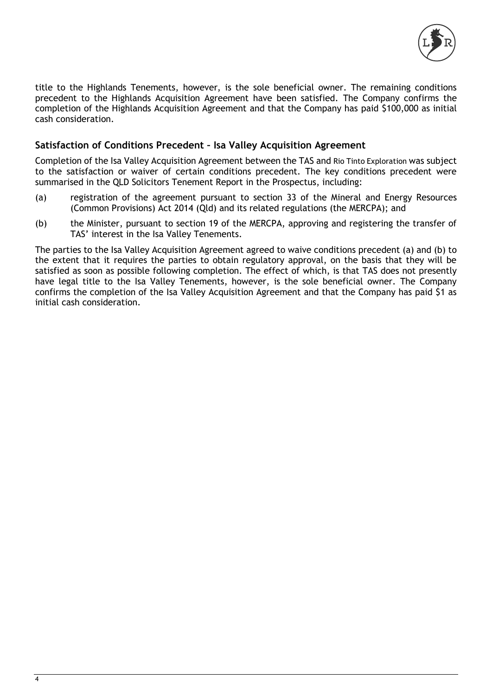

title to the Highlands Tenements, however, is the sole beneficial owner. The remaining conditions precedent to the Highlands Acquisition Agreement have been satisfied. The Company confirms the completion of the Highlands Acquisition Agreement and that the Company has paid \$100,000 as initial cash consideration.

## **Satisfaction of Conditions Precedent – Isa Valley Acquisition Agreement**

Completion of the Isa Valley Acquisition Agreement between the TAS and Rio Tinto Exploration was subject to the satisfaction or waiver of certain conditions precedent. The key conditions precedent were summarised in the QLD Solicitors Tenement Report in the Prospectus, including:

- (a) registration of the agreement pursuant to section 33 of the Mineral and Energy Resources (Common Provisions) Act 2014 (Qld) and its related regulations (the MERCPA); and
- (b) the Minister, pursuant to section 19 of the MERCPA, approving and registering the transfer of TAS' interest in the Isa Valley Tenements.

The parties to the Isa Valley Acquisition Agreement agreed to waive conditions precedent (a) and (b) to the extent that it requires the parties to obtain regulatory approval, on the basis that they will be satisfied as soon as possible following completion. The effect of which, is that TAS does not presently have legal title to the Isa Valley Tenements, however, is the sole beneficial owner. The Company confirms the completion of the Isa Valley Acquisition Agreement and that the Company has paid \$1 as initial cash consideration.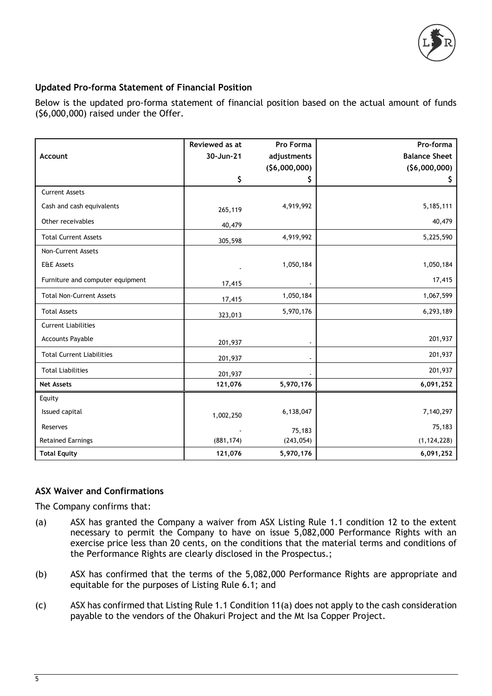

## **Updated Pro-forma Statement of Financial Position**

Below is the updated pro-forma statement of financial position based on the actual amount of funds (\$6,000,000) raised under the Offer.

|                                  | Reviewed as at | Pro Forma    | Pro-forma            |
|----------------------------------|----------------|--------------|----------------------|
| Account                          | 30-Jun-21      | adjustments  | <b>Balance Sheet</b> |
|                                  |                | (56,000,000) | (56,000,000)         |
|                                  | \$             | \$           | Ş.                   |
| <b>Current Assets</b>            |                |              |                      |
| Cash and cash equivalents        | 265,119        | 4,919,992    | 5,185,111            |
| Other receivables                | 40,479         |              | 40,479               |
| <b>Total Current Assets</b>      | 305,598        | 4,919,992    | 5,225,590            |
| Non-Current Assets               |                |              |                      |
| <b>E&amp;E Assets</b>            |                | 1,050,184    | 1,050,184            |
| Furniture and computer equipment | 17,415         |              | 17,415               |
| <b>Total Non-Current Assets</b>  | 17,415         | 1,050,184    | 1,067,599            |
| <b>Total Assets</b>              | 323,013        | 5,970,176    | 6,293,189            |
| <b>Current Liabilities</b>       |                |              |                      |
| <b>Accounts Payable</b>          | 201,937        |              | 201,937              |
| <b>Total Current Liabilities</b> | 201,937        |              | 201,937              |
| <b>Total Liabilities</b>         | 201,937        |              | 201,937              |
| <b>Net Assets</b>                | 121,076        | 5,970,176    | 6,091,252            |
| Equity                           |                |              |                      |
| Issued capital                   | 1,002,250      | 6,138,047    | 7,140,297            |
| Reserves                         |                | 75,183       | 75,183               |
| <b>Retained Earnings</b>         | (881, 174)     | (243, 054)   | (1, 124, 228)        |
| <b>Total Equity</b>              | 121,076        | 5,970,176    | 6,091,252            |

#### **ASX Waiver and Confirmations**

The Company confirms that:

- (a) ASX has granted the Company a waiver from ASX Listing Rule 1.1 condition 12 to the extent necessary to permit the Company to have on issue 5,082,000 Performance Rights with an exercise price less than 20 cents, on the conditions that the material terms and conditions of the Performance Rights are clearly disclosed in the Prospectus.;
- (b) ASX has confirmed that the terms of the 5,082,000 Performance Rights are appropriate and equitable for the purposes of Listing Rule 6.1; and
- (c) ASX has confirmed that Listing Rule 1.1 Condition 11(a) does not apply to the cash consideration payable to the vendors of the Ohakuri Project and the Mt Isa Copper Project.